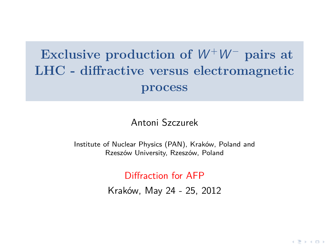# **Exclusive production of**  $W^+W^-$  **pairs at LHC - diffractive versus electromagnetic process**

#### Antoni Szczurek

<span id="page-0-0"></span>Institute of Nuclear Physics (PAN), Kraków, Poland and Rzeszów University, Rzeszów, Poland

Diffraction for AFP

Kraków, May 24 - 25, 2012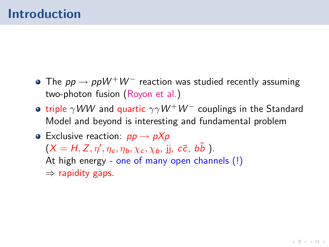- The *pp → ppW<sup>+</sup>W<sup>-</sup>* reaction was studied recently assuming two-photon fusion (Royon et al.)
- **•** triple *γWW* and quartic *γγW<sup>+</sup>W<sup>-</sup>* couplings in the Standard Model and beyond is interesting and fundamental problem
- Exclusive reaction: pp *→* pXp  $(X = H, Z, \eta', \eta_c, \eta_b, \chi_c, \chi_b, \mathbf{j}_b, c\bar{c}, b\bar{b})$ . At high energy - one of many open channels (!) *⇒* rapidity gaps.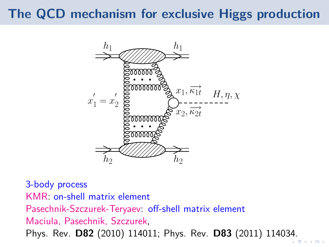# **The QCD mechanism for exclusive Higgs production**



3-body process KMR: on-shell matrix element Pasechnik-Szczurek-Teryaev: off-shell matrix element Maciula, Pasechnik, Szczurek, Phys. Rev. **D82** (2010) 114011; Phys. Rev. **D83** (2011) 1140[34.](#page-0-0)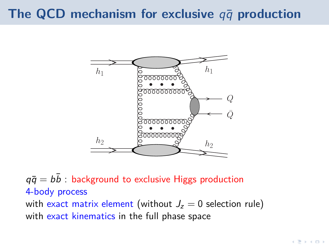# **The QCD mechanism for exclusive**  $q\bar{q}$  production



 $q\bar{q} = b\bar{b}$ : background to exclusive Higgs production 4-body process with exact matrix element (without  $J_z = 0$  selection rule) with exact kinematics in the full phase space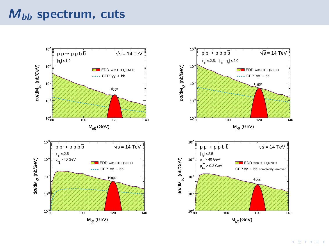## **Mbb spectrum, cuts**

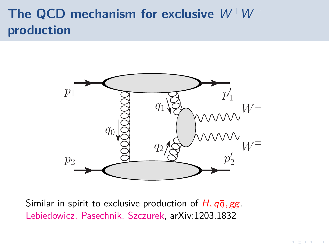# The QCD mechanism for exclusive  $W^+W^$ **production**



Similar in spirit to exclusive production of  $H$ ,  $q\bar{q}$ ,  $gg$ . Lebiedowicz, Pasechnik, Szczurek, arXiv:1203.1832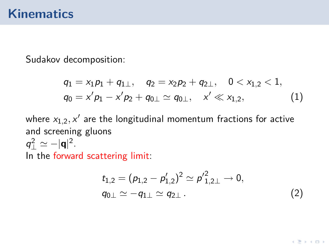### **Kinematics**

Sudakov decomposition:

$$
q_1 = x_1 p_1 + q_{1\perp}, \quad q_2 = x_2 p_2 + q_{2\perp}, \quad 0 < x_{1,2} < 1, q_0 = x' p_1 - x' p_2 + q_{0\perp} \simeq q_{0\perp}, \quad x' \ll x_{1,2}, \tag{1}
$$

where  $x_{1,2},x'$  are the longitudinal momentum fractions for active and screening gluons  $q_{\perp}^{2} \simeq -|\mathbf{q}|^{2}$ .

In the forward scattering limit:

$$
t_{1,2} = (p_{1,2} - p'_{1,2})^2 \simeq p'^2_{1,2\perp} \to 0,
$$
  
\n
$$
q_{0\perp} \simeq -q_{1\perp} \simeq q_{2\perp}.
$$
\n(2)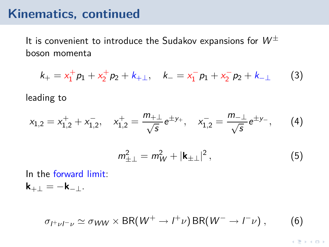### **Kinematics, continued**

It is convenient to introduce the Sudakov expansions for  $W^{\pm}$ boson momenta

$$
k_{+} = x_{1}^{+} p_{1} + x_{2}^{+} p_{2} + k_{+} , \quad k_{-} = x_{1}^{-} p_{1} + x_{2}^{-} p_{2} + k_{-} . \tag{3}
$$

leading to

$$
x_{1,2} = x_{1,2}^+ + x_{1,2}^-
$$
\n
$$
x_{1,2}^+ = \frac{m_{+ \perp}}{\sqrt{s}} e^{\pm y_+}, \quad x_{1,2}^- = \frac{m_{- \perp}}{\sqrt{s}} e^{\pm y_-}, \qquad (4)
$$

$$
m_{\pm\perp}^2 = m_W^2 + |\mathbf{k}_{\pm\perp}|^2, \tag{5}
$$

In the forward limit: **k**+*<sup>⊥</sup>* = *−***k***−⊥*.

 $\sigma_{l^+\nu l^-\nu} \simeq \sigma_{WW} \times BR(W^+ \to l^+\nu) BR(W^- \to l^-\nu)$ , (6)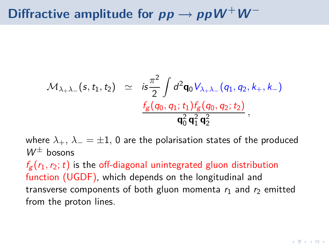# Diffractive amplitude for  $pp \rightarrow ppW^+W^-$

$$
\mathcal{M}_{\lambda_+\lambda_-}(s,t_1,t_2) \simeq i s \frac{\pi^2}{2} \int d^2 \mathbf{q}_0 V_{\lambda_+\lambda_-}(q_1,q_2,k_+,k_-) \frac{f_g(q_0,q_1;t_1) f_g(q_0,q_2;t_2)}{\mathbf{q}_0^2 \mathbf{q}_1^2 \mathbf{q}_2^2},
$$

where  $\lambda_+$ ,  $\lambda_- = \pm 1$ , 0 are the polarisation states of the produced  $W^{\pm}$  bosons

 $f_{\sigma}(r_1,r_2;t)$  is the off-diagonal unintegrated gluon distribution function (UGDF), which depends on the longitudinal and transverse components of both gluon momenta  $r_1$  and  $r_2$  emitted from the proton lines.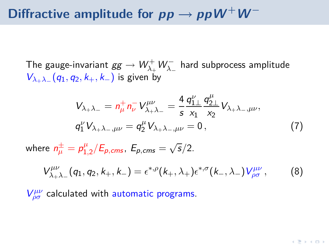# Diffractive amplitude for  $pp \rightarrow ppW^+W^-$

The gauge-invariant  $gg \to W_{\lambda_+}^+W_{\lambda_-}^-$  hard subprocess amplitude V*λ*+*λ<sup>−</sup>* (q1*,* q2*,* k+*,* k*−*) is given by

$$
V_{\lambda+\lambda_{-}} = n_{\mu}^{+} n_{\nu}^{-} V_{\lambda+\lambda_{-}}^{\mu\nu} = \frac{4}{s} \frac{q_{1\perp}^{\nu}}{x_{1}} \frac{q_{2\perp}^{\mu}}{x_{2}} V_{\lambda+\lambda_{-},\mu\nu},
$$
  
\n
$$
q_{1}^{\nu} V_{\lambda+\lambda_{-},\mu\nu} = q_{2}^{\mu} V_{\lambda+\lambda_{-},\mu\nu} = 0,
$$
\n(7)

*µ*

where  $n^{\pm}_{\mu} = p^{\mu}_{1,\mu}$  $^{μ}_{1,2}/E_{p,cms}$ ,  $E_{p,cms} = \sqrt{s}/2$ .

$$
V^{\mu\nu}_{\lambda+\lambda_{-}}(q_1, q_2, k_+, k_-) = \epsilon^{*,\rho}(k_+, \lambda_+) \epsilon^{*,\sigma}(k_-, \lambda_-) V^{\mu\nu}_{\rho\sigma}, \qquad (8)
$$

V *µν ρσ* calculated with automatic programs.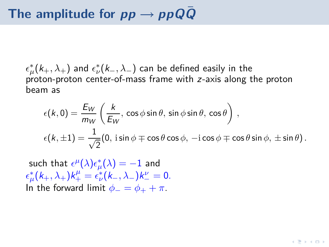*ǫ ∗*  $\frac{k}{\mu}(k_+, \lambda_+)$  and  $\epsilon^*_{\nu}$ *ν* (k*−, λ−*) can be defined easily in the proton-proton center-of-mass frame with z-axis along the proton beam as

$$
\epsilon(k,0) = \frac{E_W}{m_W} \left( \frac{k}{E_W}, \cos \phi \sin \theta, \sin \phi \sin \theta, \cos \theta \right),
$$
  

$$
\epsilon(k,\pm 1) = \frac{1}{\sqrt{2}} (0, \sin \phi \mp \cos \theta \cos \phi, -\mathrm{i} \cos \phi \mp \cos \theta \sin \phi, \pm \sin \theta).
$$

such that  $\epsilon^{\mu}(\lambda)\epsilon_{\mu}^{*}$  $\chi^*_\mu(\lambda) = -1$  and *ǫ ∗*  $\mu^*(k_+, \lambda_+)k_+^\mu = \epsilon_\nu^*$  $v^*_{\nu}(k_-, \lambda_-)k_-^{\nu} = 0.$ In the forward limit  $\phi_-=\phi_++\pi$ .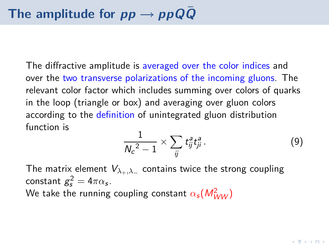The diffractive amplitude is averaged over the color indices and over the two transverse polarizations of the incoming gluons. The relevant color factor which includes summing over colors of quarks in the loop (triangle or box) and averaging over gluon colors according to the definition of unintegrated gluon distribution function is

$$
\frac{1}{N_c{}^2-1}\times\sum_{ij}t_{ij}^a t_{ji}^a\,.
$$
 (9)

The matrix element V*λ*+*,λ<sup>−</sup>* contains twice the strong coupling constant  $g_s^2 = 4\pi\alpha_s$ . We take the running coupling constant  $\alpha_s(M_{WW}^2)$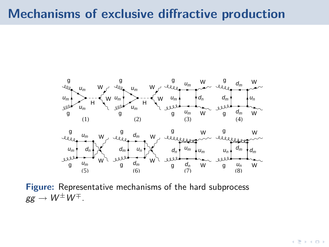## **Mechanisms of exclusive diffractive production**



**Figure:** Representative mechanisms of the hard subprocess  $gg \to W^{\pm}W^{\mp}$ .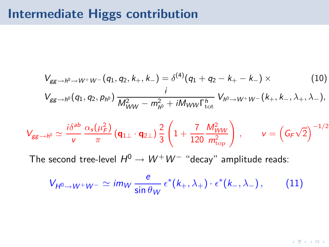# **Intermediate Higgs contribution**

$$
V_{gg\to h^0\to W^+W^-}(q_1,q_2,k_+,k_-)=\delta^{(4)}(q_1+q_2-k_+-k_-)\times \hspace{1.5cm} (10)
$$

$$
V_{gg\to h^0}(q_1, q_2, p_{h^0}) \frac{i}{M_{WW}^2 - m_{h^0}^2 + iM_{WW} \Gamma_{\text{tot}}^h} V_{h^0 \to W^+W^-}(k_+, k_-, \lambda_+, \lambda_-),
$$

$$
V_{gg\to h^0} \simeq \frac{i\delta^{ab}}{v} \frac{\alpha_s(\mu_F^2)}{\pi} \left(\mathbf{q}_{1\perp}\cdot\mathbf{q}_{2\perp}\right) \frac{2}{3} \left(1 + \frac{7}{120} \frac{M_{WW}^2}{m_{\text{top}}^2}\right) , \qquad v = \left(G_F\sqrt{2}\right)^{-1/2}
$$

The second tree-level  $H^0 \to W^+W^-$  "decay" amplitude reads:

$$
V_{H^0 \to W^+ W^-} \simeq \text{im}_W \frac{e}{\sin \theta_W} \epsilon^*(k_+, \lambda_+) \cdot \epsilon^*(k_-, \lambda_-), \quad (11)
$$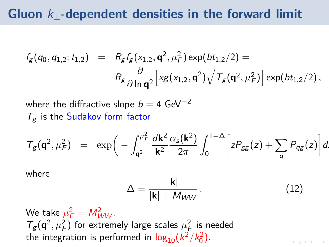## **Gluon** k*⊥***-dependent densities in the forward limit**

$$
f_g(q_0, q_{1,2}; t_{1,2}) = R_g f_g(x_{1,2}, \mathbf{q}^2, \mu_F^2) \exp(bt_{1,2}/2) =
$$
  

$$
R_g \frac{\partial}{\partial \ln \mathbf{q}^2} \Big[ x g(x_{1,2}, \mathbf{q}^2) \sqrt{\mathcal{T}_g(\mathbf{q}^2, \mu_F^2)} \Big] \exp(bt_{1,2}/2),
$$

where the diffractive slope b = 4 GeV*−*<sup>2</sup>  $T_g$  is the Sudakov form factor

$$
T_g(\mathbf{q}^2,\mu_F^2) = \exp\bigg(-\int_{\mathbf{q}^2}^{\mu_F^2} \frac{d\mathbf{k}^2}{\mathbf{k}^2} \frac{\alpha_s(\mathbf{k}^2)}{2\pi} \int_0^{1-\Delta} \bigg[zP_{gg}(z) + \sum_q P_{qg}(z)\bigg]dz
$$

where

$$
\Delta = \frac{|\mathbf{k}|}{|\mathbf{k}| + M_{WW}}.
$$
 (12)

We take  $\mu_F^2 = M_{WW}^2$ .  $T_g(\mathbf{q}^2, \mu_F^2)$  for extremely large scales  $\mu_F^2$  is needed the integration is performed in  $\log_{10}(k^2/k_0^2)$ .

 $\mathbf{A} \equiv \mathbf{B} + \mathbf{A} \equiv \mathbf{B}$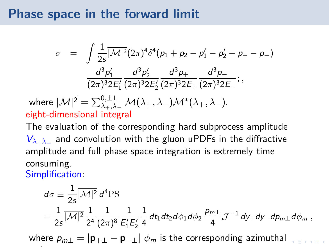## **Phase space in the forward limit**

$$
\sigma = \int \frac{1}{2s} \overline{|\mathcal{M}|^2} (2\pi)^4 \delta^4(p_1 + p_2 - p_1' - p_2' - p_+ - p_-)
$$

$$
\frac{d^3 p_1'}{(2\pi)^3 2E_1'} \frac{d^3 p_2'}{(2\pi)^3 2E_2'} \frac{d^3 p_+}{(2\pi)^3 2E_+} \frac{d^3 p_-}{(2\pi)^3 2E_-};
$$
where 
$$
\overline{|\mathcal{M}|^2} = \sum_{\lambda_+, \lambda_-}^{0, \pm 1} \mathcal{M}(\lambda_+, \lambda_-) \mathcal{M}^*(\lambda_+, \lambda_-).
$$

eight-dimensional integral

The evaluation of the corresponding hard subprocess amplitude V*λ*+*λ<sup>−</sup>* and convolution with the gluon uPDFs in the diffractive amplitude and full phase space integration is extremely time consuming.

Simplification:

$$
d\sigma \equiv \frac{1}{2s} |\overline{\mathcal{M}|^2} d^4 \text{PS}
$$
  
=  $\frac{1}{2s} |\overline{\mathcal{M}|^2} \frac{1}{2^4} \frac{1}{(2\pi)^8} \frac{1}{E_1'E_2'} \frac{1}{4} dt_1 dt_2 d\phi_1 d\phi_2 \frac{p_{m\perp}}{4} \mathcal{J}^{-1} dy_+ dy_- dp_{m\perp} d\phi_m$ ,

where  $p_{m\perp} = |\mathbf{p}_{+\perp} - \mathbf{p}_{-\perp}| \phi_m$  is the corresponding azimuthal  $\phi_m$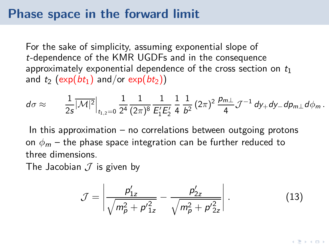## **Phase space in the forward limit**

For the sake of simplicity, assuming exponential slope of t-dependence of the KMR UGDFs and in the consequence approximately exponential dependence of the cross section on  $t_1$ and  $t_2$  (exp( $bt_1$ ) and/or exp( $bt_2$ ))

$$
d\sigma \approx \frac{1}{2s} \overline{|\mathcal{M}|^2} \Big|_{t_{1,2}=0} \frac{1}{2^4} \frac{1}{(2\pi)^8} \frac{1}{E_1'E_2'} \frac{1}{4} \frac{1}{b^2} (2\pi)^2 \frac{p_{m\perp}}{4} \mathcal{J}^{-1} dy_+ dy_- dp_{m\perp} d\phi_m.
$$

In this approximation  $-$  no correlations between outgoing protons on  $\phi_m$  – the phase space integration can be further reduced to three dimensions.

The Jacobian *J* is given by

$$
\mathcal{J} = \left| \frac{p'_{1z}}{\sqrt{m_p^2 + p'^2_{1z}}} - \frac{p'_{2z}}{\sqrt{m_p^2 + p'^2_{2z}}} \right|.
$$
 (13)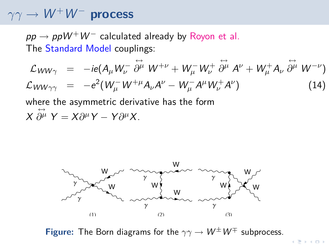## $\gamma\gamma \rightarrow W^{+}W^{-}$  process

 $pp \rightarrow ppW^+W^-$  calculated already by Royon et al. The Standard Model couplings:

$$
\mathcal{L}_{WW\gamma} = -ie(A_{\mu}W_{\nu}^{-} \stackrel{\leftrightarrow}{\partial^{\mu}} W^{+\nu} + W_{\mu}^{-}W_{\nu}^{+} \stackrel{\leftrightarrow}{\partial^{\mu}} A^{\nu} + W_{\mu}^{+}A_{\nu} \stackrel{\leftrightarrow}{\partial^{\mu}} W^{-\nu})
$$
\n
$$
\mathcal{L}_{WW\gamma\gamma} = -e^{2}(W_{\mu}^{-}W^{+\mu}A_{\nu}A^{\nu} - W_{\mu}^{-}A^{\mu}W_{\nu}^{+}A^{\nu})
$$
\n(14)

where the asymmetric derivative has the form  $\chi$ *↔*  $\partial^{\mu}$  Y = X $\partial^{\mu}$ Y − Y $\partial^{\mu}$ X.



**Figure:** The Born diagrams for the  $\gamma\gamma \rightarrow W^{\pm}W^{\mp}$  subprocess.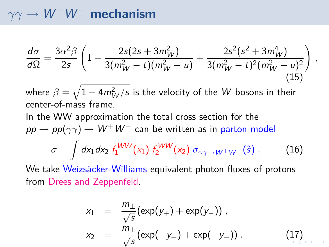## $\gamma\gamma \rightarrow W^+W^-$  mechanism

$$
\frac{d\sigma}{d\Omega} = \frac{3\alpha^2\beta}{2s} \left( 1 - \frac{2s(2s + 3m_W^2)}{3(m_W^2 - t)(m_W^2 - u)} + \frac{2s^2(s^2 + 3m_W^4)}{3(m_W^2 - t)^2(m_W^2 - u)^2} \right)
$$
(15)

where  $\beta = \sqrt{1-4m_W^2/s}$  is the velocity of the  $W$  bosons in their center-of-mass frame.

In the WW approximation the total cross section for the  $pp \rightarrow pp(\gamma\gamma) \rightarrow W^+W^-$  can be written as in parton model  $\sigma = \int d x_1 d x_2 \; f_1^{WW}(x_1) \; f_2^{WW}(x_2) \; \sigma_{\gamma \gamma \to W^+W^-}(\hat{\bm{s}}) \; . \tag{16}$ 

We take Weizsäcker-Williams equivalent photon fluxes of protons from Drees and Zeppenfeld.

$$
x_1 = \frac{m_{\perp}}{\sqrt{s}} (\exp(y_+) + \exp(y_-)),
$$
  
\n
$$
x_2 = \frac{m_{\perp}}{\sqrt{s}} (\exp(-y_+) + \exp(-y_-)).
$$
\n(17)

*,*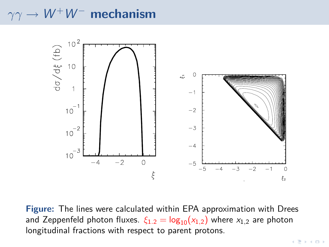## *γ*γ → *W*<sup>+</sup>*W*<sup>−</sup> mechanism



**Figure:** The lines were calculated within EPA approximation with Drees and Zeppenfeld photon fluxes.  $\xi_{1,2} = \log_{10}(x_{1,2})$  where  $x_{1,2}$  are photon longitudinal fractions with respect to parent protons.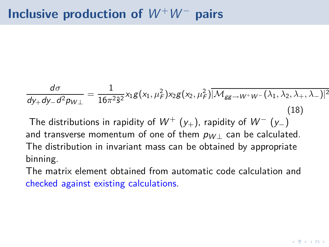$$
\frac{d\sigma}{dy_+dy_-d^2p_{W\perp}}=\frac{1}{16\pi^2\hat{s}^2}x_1g(x_1,\mu_F^2)x_2g(x_2,\mu_F^2)\overline{|\mathcal{M}_{gg\to W^+W^-}(\lambda_1,\lambda_2,\lambda_+,\lambda_-)|^2}
$$
\n(18)

The distributions in rapidity of  $W^+$  (y<sub>+</sub>), rapidity of  $W^-$  (y<sub>−</sub>) and transverse momentum of one of them  $p_{W|}$  can be calculated. The distribution in invariant mass can be obtained by appropriate binning.

The matrix element obtained from automatic code calculation and checked against existing calculations.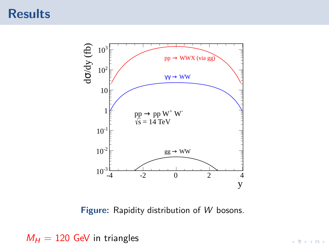

**Figure:** Rapidity distribution of W bosons.

 $M_H = 120$  GeV in triangles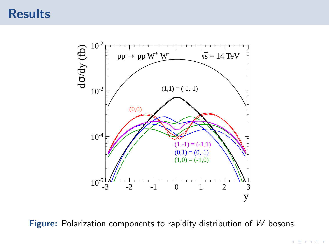

**Figure:** Polarization components to rapidity distribution of W bosons.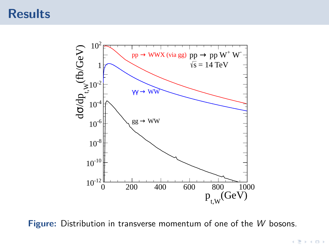

**Figure:** Distribution in transverse momentum of one of the W bosons.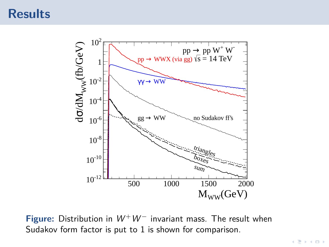

**Figure:** Distribution in W+W*<sup>−</sup>* invariant mass. The result when Sudakov form factor is put to 1 is shown for comparison.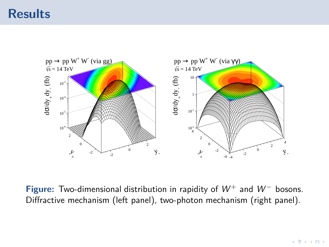

**Figure:** Two-dimensional distribution in rapidity of W<sup>+</sup> and W*<sup>−</sup>* bosons. Diffractive mechanism (left panel), two-photon mechanism (right panel).